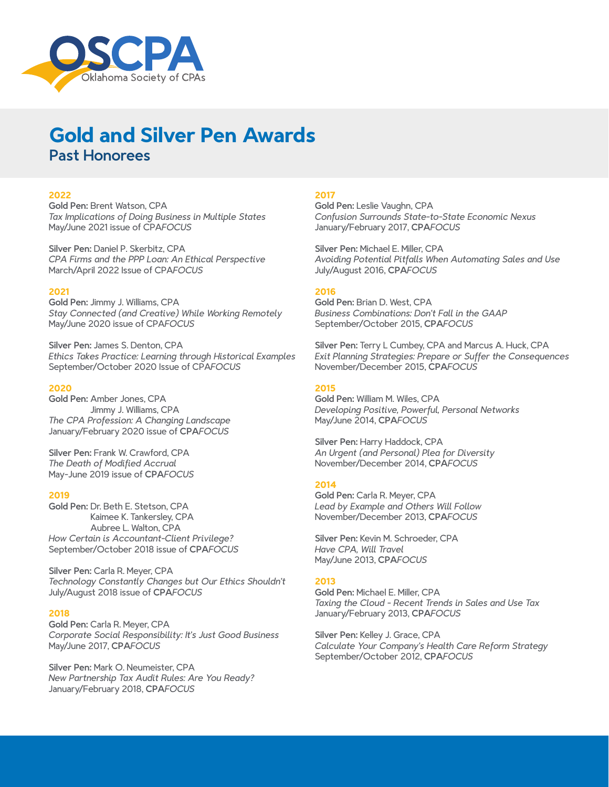

# **Gold and Silver Pen Awards** Past Honorees

## **2022**

Gold Pen: Brent Watson, CPA *Tax Implications of Doing Business in Multiple States* May/June 2021 issue of CPA*FOCUS*

Silver Pen: Daniel P. Skerbitz, CPA *CPA Firms and the PPP Loan: An Ethical Perspective* March/April 2022 Issue of CPA*FOCUS*

## **2021**

Gold Pen: Jimmy J. Williams, CPA *Stay Connected (and Creative) While Working Remotely* May/June 2020 issue of CPA*FOCUS*

Silver Pen: James S. Denton, CPA *Ethics Takes Practice: Learning through Historical Examples* September/October 2020 Issue of CPA*FOCUS*

## **2020**

Gold Pen: Amber Jones, CPA Jimmy J. Williams, CPA *The CPA Profession: A Changing Landscape* January/February 2020 issue of CPA*FOCUS*

Silver Pen: Frank W. Crawford, CPA *The Death of Modified Accrual*  May-June 2019 issue of CPA*FOCUS*

#### **2019**

Gold Pen: Dr. Beth E. Stetson, CPA Kaimee K. Tankersley, CPA Aubree L. Walton, CPA *How Certain is Accountant-Client Privilege?* September/October 2018 issue of CPA*FOCUS*

Silver Pen: Carla R. Meyer, CPA *Technology Constantly Changes but Our Ethics Shouldn't* July/August 2018 issue of CPA*FOCUS*

## **2018**

Gold Pen: Carla R. Meyer, CPA *Corporate Social Responsibility: It's Just Good Business* May/June 2017, CPA*FOCUS*

Silver Pen: Mark O. Neumeister, CPA *New Partnership Tax Audit Rules: Are You Ready?* January/February 2018, CPA*FOCUS*

#### **2017**

Gold Pen: Leslie Vaughn, CPA *Confusion Surrounds State-to-State Economic Nexus* January/February 2017, CPA*FOCUS*

Silver Pen: Michael E. Miller, CPA *Avoiding Potential Pitfalls When Automating Sales and Use* July/August 2016, CPA*FOCUS*

## **2016**

Gold Pen: Brian D. West, CPA *Business Combinations: Don't Fall in the GAAP* September/October 2015, CPA*FOCUS*

Silver Pen: Terry L Cumbey, CPA and Marcus A. Huck, CPA *Exit Planning Strategies: Prepare or Suffer the Consequences* November/December 2015, CPA*FOCUS*

## **2015**

Gold Pen: William M. Wiles, CPA *Developing Positive, Powerful, Personal Networks* May/June 2014, CPA*FOCUS*

Silver Pen: Harry Haddock, CPA *An Urgent (and Personal) Plea for Diversity* November/December 2014, CPA*FOCUS*

## **2014**

Gold Pen: Carla R. Meyer, CPA *Lead by Example and Others Will Follow* November/December 2013, CPA*FOCUS*

Silver Pen: Kevin M. Schroeder, CPA *Have CPA, Will Travel* May/June 2013, CPA*FOCUS*

#### **2013**

Gold Pen: Michael E. Miller, CPA *Taxing the Cloud - Recent Trends in Sales and Use Tax* January/February 2013, CPA*FOCUS*

Silver Pen: Kelley J. Grace, CPA *Calculate Your Company's Health Care Reform Strategy* September/October 2012, CPA*FOCUS*